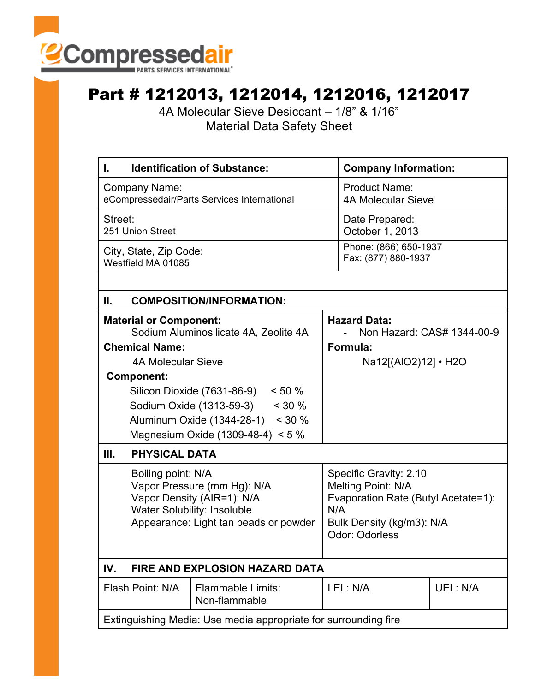

# Part # 1212013, 1212014, 1212016, 1212017

4A Molecular Sieve Desiccant – 1/8" & 1/16"

Material Data Safety Sheet

| <b>Identification of Substance:</b><br>L.                                                                                                               | <b>Company Information:</b>                                                                                                                      |  |
|---------------------------------------------------------------------------------------------------------------------------------------------------------|--------------------------------------------------------------------------------------------------------------------------------------------------|--|
| Company Name:<br>eCompressedair/Parts Services International                                                                                            | <b>Product Name:</b><br><b>4A Molecular Sieve</b>                                                                                                |  |
| Street:<br>251 Union Street                                                                                                                             | Date Prepared:<br>October 1, 2013                                                                                                                |  |
| City, State, Zip Code:<br>Westfield MA 01085                                                                                                            | Phone: (866) 650-1937<br>Fax: (877) 880-1937                                                                                                     |  |
| <b>COMPOSITION/INFORMATION:</b><br>Н.                                                                                                                   |                                                                                                                                                  |  |
| <b>Material or Component:</b><br>Sodium Aluminosilicate 4A, Zeolite 4A<br><b>Chemical Name:</b>                                                         | <b>Hazard Data:</b><br>Non Hazard: CAS# 1344-00-9<br>Formula:                                                                                    |  |
| <b>4A Molecular Sieve</b>                                                                                                                               | Na12[(AlO2)12] • H2O                                                                                                                             |  |
| <b>Component:</b>                                                                                                                                       |                                                                                                                                                  |  |
| $< 50 \%$<br>Silicon Dioxide (7631-86-9)                                                                                                                |                                                                                                                                                  |  |
| Sodium Oxide (1313-59-3) < 30 %                                                                                                                         |                                                                                                                                                  |  |
| Aluminum Oxide (1344-28-1)<br>$< 30 \%$                                                                                                                 |                                                                                                                                                  |  |
| Magnesium Oxide (1309-48-4) < 5 %                                                                                                                       |                                                                                                                                                  |  |
| Ш.<br><b>PHYSICAL DATA</b>                                                                                                                              |                                                                                                                                                  |  |
| Boiling point: N/A<br>Vapor Pressure (mm Hg): N/A<br>Vapor Density (AIR=1): N/A<br>Water Solubility: Insoluble<br>Appearance: Light tan beads or powder | Specific Gravity: 2.10<br>Melting Point: N/A<br>Evaporation Rate (Butyl Acetate=1):<br>N/A<br>Bulk Density (kg/m3): N/A<br><b>Odor: Odorless</b> |  |
| IV.<br>FIRE AND EXPLOSION HAZARD DATA                                                                                                                   |                                                                                                                                                  |  |
| Flash Point: N/A<br><b>Flammable Limits:</b><br>Non-flammable                                                                                           | UEL: N/A<br>LEL: N/A                                                                                                                             |  |
| Extinguishing Media: Use media appropriate for surrounding fire                                                                                         |                                                                                                                                                  |  |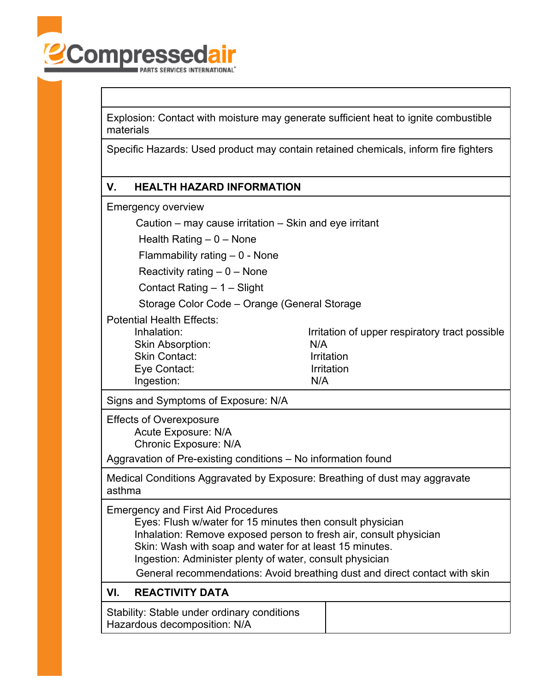

Explosion: Contact with moisture may generate sufficient heat to ignite combustible materials

Specific Hazards: Used product may contain retained chemicals, inform fire fighters

## **V. HEALTH HAZARD INFORMATION** Emergency overview

 Caution – may cause irritation – Skin and eye irritant Health Rating  $-0$  – None Flammability rating – 0 - None Reactivity rating  $-0$  – None Contact Rating – 1 – Slight Storage Color Code – Orange (General Storage Potential Health Effects: Inhalation: Inhalation of upper respiratory tract possible Skin Absorption: N/A Skin Contact: Irritation Eye Contact: Irritation Ingestion: N/A

Signs and Symptoms of Exposure: N/A

Effects of Overexposure Acute Exposure: N/A Chronic Exposure: N/A

Aggravation of Pre-existing conditions – No information found

Medical Conditions Aggravated by Exposure: Breathing of dust may aggravate asthma

Emergency and First Aid Procedures

Eyes: Flush w/water for 15 minutes then consult physician Inhalation: Remove exposed person to fresh air, consult physician Skin: Wash with soap and water for at least 15 minutes. Ingestion: Administer plenty of water, consult physician

General recommendations: Avoid breathing dust and direct contact with skin

### **VI. REACTIVITY DATA**

Stability: Stable under ordinary conditions Hazardous decomposition: N/A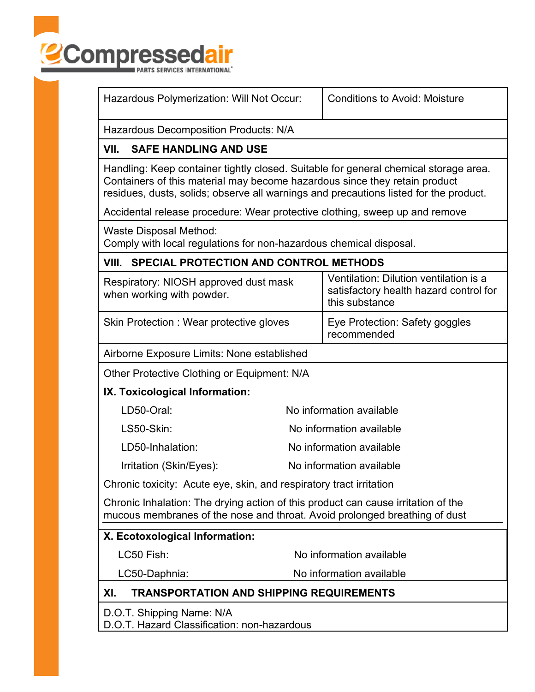

| Hazardous Polymerization: Will Not Occur:                                                                                                                                                                                                                   |                          | <b>Conditions to Avoid: Moisture</b>                                                               |
|-------------------------------------------------------------------------------------------------------------------------------------------------------------------------------------------------------------------------------------------------------------|--------------------------|----------------------------------------------------------------------------------------------------|
| <b>Hazardous Decomposition Products: N/A</b>                                                                                                                                                                                                                |                          |                                                                                                    |
| VII.<br><b>SAFE HANDLING AND USE</b>                                                                                                                                                                                                                        |                          |                                                                                                    |
| Handling: Keep container tightly closed. Suitable for general chemical storage area.<br>Containers of this material may become hazardous since they retain product<br>residues, dusts, solids; observe all warnings and precautions listed for the product. |                          |                                                                                                    |
| Accidental release procedure: Wear protective clothing, sweep up and remove                                                                                                                                                                                 |                          |                                                                                                    |
| Waste Disposal Method:<br>Comply with local regulations for non-hazardous chemical disposal.                                                                                                                                                                |                          |                                                                                                    |
| <b>SPECIAL PROTECTION AND CONTROL METHODS</b><br>VIII.                                                                                                                                                                                                      |                          |                                                                                                    |
| Respiratory: NIOSH approved dust mask<br>when working with powder.                                                                                                                                                                                          |                          | Ventilation: Dilution ventilation is a<br>satisfactory health hazard control for<br>this substance |
| Skin Protection: Wear protective gloves                                                                                                                                                                                                                     |                          | Eye Protection: Safety goggles<br>recommended                                                      |
| Airborne Exposure Limits: None established                                                                                                                                                                                                                  |                          |                                                                                                    |
| Other Protective Clothing or Equipment: N/A                                                                                                                                                                                                                 |                          |                                                                                                    |
| IX. Toxicological Information:                                                                                                                                                                                                                              |                          |                                                                                                    |
| LD50-Oral:                                                                                                                                                                                                                                                  | No information available |                                                                                                    |
| LS50-Skin:                                                                                                                                                                                                                                                  | No information available |                                                                                                    |
| LD50-Inhalation:                                                                                                                                                                                                                                            | No information available |                                                                                                    |
| Irritation (Skin/Eyes):                                                                                                                                                                                                                                     | No information available |                                                                                                    |
| Chronic toxicity: Acute eye, skin, and respiratory tract irritation                                                                                                                                                                                         |                          |                                                                                                    |
| Chronic Inhalation: The drying action of this product can cause irritation of the<br>mucous membranes of the nose and throat. Avoid prolonged breathing of dust                                                                                             |                          |                                                                                                    |
| X. Ecotoxological Information:                                                                                                                                                                                                                              |                          |                                                                                                    |
| LC50 Fish:                                                                                                                                                                                                                                                  | No information available |                                                                                                    |
| LC50-Daphnia:                                                                                                                                                                                                                                               | No information available |                                                                                                    |
| XI.<br><b>TRANSPORTATION AND SHIPPING REQUIREMENTS</b>                                                                                                                                                                                                      |                          |                                                                                                    |
| D.O.T. Shipping Name: N/A<br>D.O.T. Hazard Classification: non-hazardous                                                                                                                                                                                    |                          |                                                                                                    |